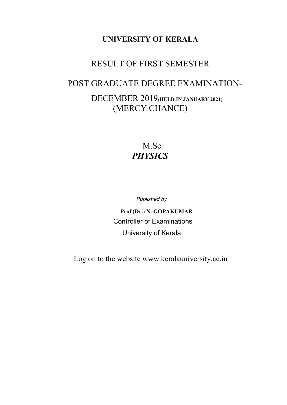## UNIVERSITY OF KERALA

## RESULT OF FIRST SEMESTER

# POST GRADUATE DEGREE EXAMINATION- DECEMBER 2019(HELD IN JANUARY 2021) (MERCY CHANCE)

## M.Sc **PHYSICS**

Published by

 Prof (Dr.) N. GOPAKUMAR Controller of Examinations University of Kerala

Log on to the website www.keralauniversity.ac.in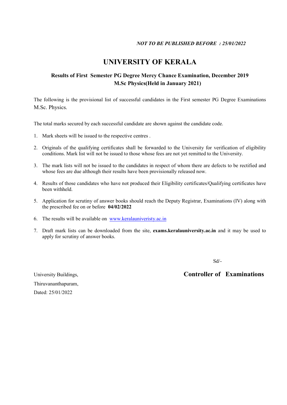## UNIVERSITY OF KERALA

#### Results of First Semester PG Degree Mercy Chance Examination, December 2019 M.Sc Physics(Held in January 2021)

The following is the provisional list of successful candidates in the First semester PG Degree Examinations M.Sc. Physics.

The total marks secured by each successful candidate are shown against the candidate code.

- 1. Mark sheets will be issued to the respective centres .
- 2. Originals of the qualifying certificates shall be forwarded to the University for verification of eligibility conditions. Mark list will not be issued to those whose fees are not yet remitted to the University.
- 3. The mark lists will not be issued to the candidates in respect of whom there are defects to be rectified and whose fees are due although their results have been provisionally released now.
- 4. Results of those candidates who have not produced their Eligibility certificates/Qualifying certificates have been withheld.
- 5. Application for scrutiny of answer books should reach the Deputy Registrar, Examinations (IV) along with the prescribed fee on or before 04/02/2022
- 6. The results will be available on www.keralauniveristy.ac.in
- 7. Draft mark lists can be downloaded from the site, exams.keralauniversity.ac.in and it may be used to apply for scrutiny of answer books.

Sd/-

Thiruvananthapuram, Dated: 25/01/2022

#### University Buildings, Controller of Examinations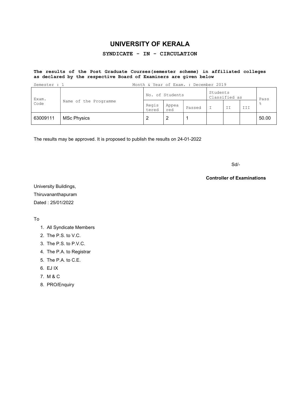## UNIVERSITY OF KERALA

#### SYNDICATE - IN - CIRCULATION

#### The results of the Post Graduate Courses(semester scheme) in affiliated colleges as declared by the respective Board of Examiners are given below

| Semester : 1  | Month & Year of Exam. : December 2019 |                 |              |        |                           |    |     |       |
|---------------|---------------------------------------|-----------------|--------------|--------|---------------------------|----|-----|-------|
| Exam.<br>Code | Name of the Programme                 | No. of Students |              |        | Students<br>Classified as |    |     | Pass  |
|               |                                       | Regis<br>tered  | Appea<br>red | Passed |                           | II | ן ד | g     |
| 63009111      | <b>MSc Physics</b>                    |                 | 2            |        |                           |    |     | 50.00 |

The results may be approved. It is proposed to publish the results on 24-01-2022

 $S$ d/- $S$ d/- $S$ d/- $S$ d/- $S$ d/- $S$ d/- $S$ d/- $S$ d/- $S$ d/- $S$ d/- $S$ d/- $S$ d/- $S$ d/- $S$ d/- $S$ d/- $S$ d/- $S$ d/- $S$ d/- $S$ d/- $S$ d/- $S$ d/- $S$ d/- $S$ d/- $S$ d/- $S$ d/- $S$ d/- $S$ d/- $S$ d/- $S$ d/- $S$ d/- $S$ d/- $S$ d/- $S$ d/- $S$ d/- $S$ d/- $S$ d/- $S$ d/

#### Controller of Examinations

University Buildings, Thiruvananthapuram Dated : 25/01/2022

To

- 1. All Syndicate Members
- 2. The P.S. to V.C.
- 3. The P.S. to P.V.C.
- 4. The P.A. to Registrar
- 5. The P.A. to C.E.
- 6. EJ IX
- 7. M & C
- 8. PRO/Enquiry